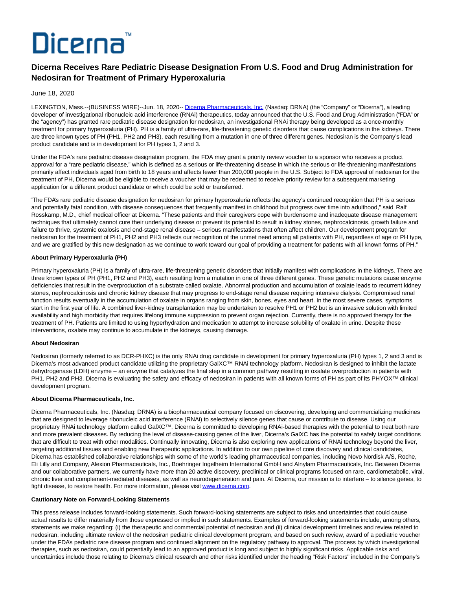# Dicerna

## **Dicerna Receives Rare Pediatric Disease Designation From U.S. Food and Drug Administration for Nedosiran for Treatment of Primary Hyperoxaluria**

### June 18, 2020

LEXINGTON, Mass.--(BUSINESS WIRE)--Jun. 18, 2020-[- Dicerna Pharmaceuticals, Inc. \(](https://cts.businesswire.com/ct/CT?id=smartlink&url=http%3A%2F%2Fwww.dicerna.com&esheet=52236998&newsitemid=20200618005175&lan=en-US&anchor=Dicerna+Pharmaceuticals%2C+Inc.&index=1&md5=3a5271bf1cd8c8e200a003eb19317bcd)Nasdaq: DRNA) (the "Company" or "Dicerna"), a leading developer of investigational ribonucleic acid interference (RNAi) therapeutics, today announced that the U.S. Food and Drug Administration ("FDA" or the "agency") has granted rare pediatric disease designation for nedosiran, an investigational RNAi therapy being developed as a once-monthly treatment for primary hyperoxaluria (PH). PH is a family of ultra-rare, life-threatening genetic disorders that cause complications in the kidneys. There are three known types of PH (PH1, PH2 and PH3), each resulting from a mutation in one of three different genes. Nedosiran is the Company's lead product candidate and is in development for PH types 1, 2 and 3.

Under the FDA's rare pediatric disease designation program, the FDA may grant a priority review voucher to a sponsor who receives a product approval for a "rare pediatric disease," which is defined as a serious or life-threatening disease in which the serious or life-threatening manifestations primarily affect individuals aged from birth to 18 years and affects fewer than 200,000 people in the U.S. Subject to FDA approval of nedosiran for the treatment of PH, Dicerna would be eligible to receive a voucher that may be redeemed to receive priority review for a subsequent marketing application for a different product candidate or which could be sold or transferred.

"The FDA's rare pediatric disease designation for nedosiran for primary hyperoxaluria reflects the agency's continued recognition that PH is a serious and potentially fatal condition, with disease consequences that frequently manifest in childhood but progress over time into adulthood," said Ralf Rosskamp, M.D., chief medical officer at Dicerna. "These patients and their caregivers cope with burdensome and inadequate disease management techniques that ultimately cannot cure their underlying disease or prevent its potential to result in kidney stones, nephrocalcinosis, growth failure and failure to thrive, systemic oxalosis and end-stage renal disease – serious manifestations that often affect children. Our development program for nedosiran for the treatment of PH1, PH2 and PH3 reflects our recognition of the unmet need among all patients with PH, regardless of age or PH type, and we are gratified by this new designation as we continue to work toward our goal of providing a treatment for patients with all known forms of PH."

#### **About Primary Hyperoxaluria (PH)**

Primary hyperoxaluria (PH) is a family of ultra-rare, life-threatening genetic disorders that initially manifest with complications in the kidneys. There are three known types of PH (PH1, PH2 and PH3), each resulting from a mutation in one of three different genes. These genetic mutations cause enzyme deficiencies that result in the overproduction of a substrate called oxalate. Abnormal production and accumulation of oxalate leads to recurrent kidney stones, nephrocalcinosis and chronic kidney disease that may progress to end-stage renal disease requiring intensive dialysis. Compromised renal function results eventually in the accumulation of oxalate in organs ranging from skin, bones, eyes and heart. In the most severe cases, symptoms start in the first year of life. A combined liver-kidney transplantation may be undertaken to resolve PH1 or PH2 but is an invasive solution with limited availability and high morbidity that requires lifelong immune suppression to prevent organ rejection. Currently, there is no approved therapy for the treatment of PH. Patients are limited to using hyperhydration and medication to attempt to increase solubility of oxalate in urine. Despite these interventions, oxalate may continue to accumulate in the kidneys, causing damage.

#### **About Nedosiran**

Nedosiran (formerly referred to as DCR-PHXC) is the only RNAi drug candidate in development for primary hyperoxaluria (PH) types 1, 2 and 3 and is Dicerna's most advanced product candidate utilizing the proprietary GalXC™ RNAi technology platform. Nedosiran is designed to inhibit the lactate dehydrogenase (LDH) enzyme – an enzyme that catalyzes the final step in a common pathway resulting in oxalate overproduction in patients with PH1, PH2 and PH3. Dicerna is evaluating the safety and efficacy of nedosiran in patients with all known forms of PH as part of its PHYOX™ clinical development program.

#### **About Dicerna Pharmaceuticals, Inc.**

Dicerna Pharmaceuticals, Inc. (Nasdaq: DRNA) is a biopharmaceutical company focused on discovering, developing and commercializing medicines that are designed to leverage ribonucleic acid interference (RNAi) to selectively silence genes that cause or contribute to disease. Using our proprietary RNAi technology platform called GalXC™, Dicerna is committed to developing RNAi-based therapies with the potential to treat both rare and more prevalent diseases. By reducing the level of disease-causing genes of the liver, Dicerna's GalXC has the potential to safely target conditions that are difficult to treat with other modalities. Continually innovating, Dicerna is also exploring new applications of RNAi technology beyond the liver, targeting additional tissues and enabling new therapeutic applications. In addition to our own pipeline of core discovery and clinical candidates, Dicerna has established collaborative relationships with some of the world's leading pharmaceutical companies, including Novo Nordisk A/S, Roche, Eli Lilly and Company, Alexion Pharmaceuticals, Inc., Boehringer Ingelheim International GmbH and Alnylam Pharmaceuticals, Inc. Between Dicerna and our collaborative partners, we currently have more than 20 active discovery, preclinical or clinical programs focused on rare, cardiometabolic, viral, chronic liver and complement-mediated diseases, as well as neurodegeneration and pain. At Dicerna, our mission is to interfere – to silence genes, to fight disease, to restore health. For more information, please visit [www.dicerna.com.](https://cts.businesswire.com/ct/CT?id=smartlink&url=http%3A%2F%2Fwww.dicerna.com&esheet=52236998&newsitemid=20200618005175&lan=en-US&anchor=www.dicerna.com&index=2&md5=5aff82feb447d665736a3d910a489049)

#### **Cautionary Note on Forward-Looking Statements**

This press release includes forward-looking statements. Such forward-looking statements are subject to risks and uncertainties that could cause actual results to differ materially from those expressed or implied in such statements. Examples of forward-looking statements include, among others, statements we make regarding: (i) the therapeutic and commercial potential of nedosiran and (ii) clinical development timelines and review related to nedosiran, including ultimate review of the nedosiran pediatric clinical development program, and based on such review, award of a pediatric voucher under the FDA's pediatric rare disease program and continued alignment on the regulatory pathway to approval. The process by which investigational therapies, such as nedosiran, could potentially lead to an approved product is long and subject to highly significant risks. Applicable risks and uncertainties include those relating to Dicerna's clinical research and other risks identified under the heading "Risk Factors" included in the Company's